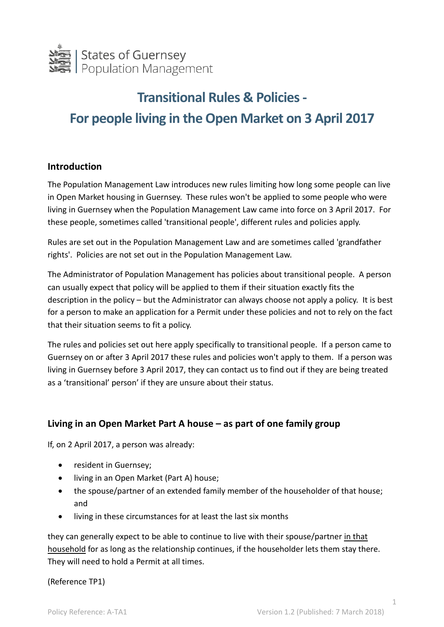

# **Transitional Rules & Policies - For people living in the Open Market on 3 April 2017**

## **Introduction**

The Population Management Law introduces new rules limiting how long some people can live in Open Market housing in Guernsey. These rules won't be applied to some people who were living in Guernsey when the Population Management Law came into force on 3 April 2017. For these people, sometimes called 'transitional people', different rules and policies apply.

Rules are set out in the Population Management Law and are sometimes called 'grandfather rights'. Policies are not set out in the Population Management Law.

The Administrator of Population Management has policies about transitional people. A person can usually expect that policy will be applied to them if their situation exactly fits the description in the policy – but the Administrator can always choose not apply a policy. It is best for a person to make an application for a Permit under these policies and not to rely on the fact that their situation seems to fit a policy.

The rules and policies set out here apply specifically to transitional people. If a person came to Guernsey on or after 3 April 2017 these rules and policies won't apply to them. If a person was living in Guernsey before 3 April 2017, they can contact us to find out if they are being treated as a 'transitional' person' if they are unsure about their status.

## **Living in an Open Market Part A house – as part of one family group**

If, on 2 April 2017, a person was already:

- resident in Guernsey;
- living in an Open Market (Part A) house;
- the spouse/partner of an extended family member of the householder of that house; and
- living in these circumstances for at least the last six months

they can generally expect to be able to continue to live with their spouse/partner in that household for as long as the relationship continues, if the householder lets them stay there. They will need to hold a Permit at all times.

(Reference TP1)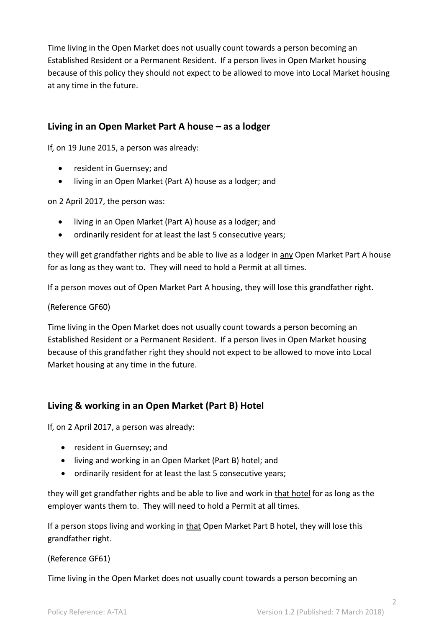Time living in the Open Market does not usually count towards a person becoming an Established Resident or a Permanent Resident. If a person lives in Open Market housing because of this policy they should not expect to be allowed to move into Local Market housing at any time in the future.

## **Living in an Open Market Part A house – as a lodger**

If, on 19 June 2015, a person was already:

- resident in Guernsey; and
- living in an Open Market (Part A) house as a lodger; and

on 2 April 2017, the person was:

- living in an Open Market (Part A) house as a lodger; and
- ordinarily resident for at least the last 5 consecutive years;

they will get grandfather rights and be able to live as a lodger in any Open Market Part A house for as long as they want to. They will need to hold a Permit at all times.

If a person moves out of Open Market Part A housing, they will lose this grandfather right.

#### (Reference GF60)

Time living in the Open Market does not usually count towards a person becoming an Established Resident or a Permanent Resident. If a person lives in Open Market housing because of this grandfather right they should not expect to be allowed to move into Local Market housing at any time in the future.

## **Living & working in an Open Market (Part B) Hotel**

If, on 2 April 2017, a person was already:

- resident in Guernsey: and
- living and working in an Open Market (Part B) hotel; and
- ordinarily resident for at least the last 5 consecutive years;

they will get grandfather rights and be able to live and work in that hotel for as long as the employer wants them to. They will need to hold a Permit at all times.

If a person stops living and working in that Open Market Part B hotel, they will lose this grandfather right.

(Reference GF61)

Time living in the Open Market does not usually count towards a person becoming an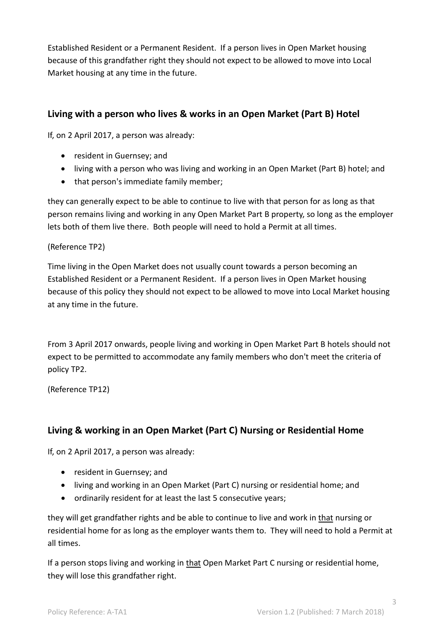Established Resident or a Permanent Resident. If a person lives in Open Market housing because of this grandfather right they should not expect to be allowed to move into Local Market housing at any time in the future.

## **Living with a person who lives & works in an Open Market (Part B) Hotel**

If, on 2 April 2017, a person was already:

- resident in Guernsey; and
- living with a person who was living and working in an Open Market (Part B) hotel; and
- that person's immediate family member;

they can generally expect to be able to continue to live with that person for as long as that person remains living and working in any Open Market Part B property, so long as the employer lets both of them live there. Both people will need to hold a Permit at all times.

### (Reference TP2)

Time living in the Open Market does not usually count towards a person becoming an Established Resident or a Permanent Resident. If a person lives in Open Market housing because of this policy they should not expect to be allowed to move into Local Market housing at any time in the future.

From 3 April 2017 onwards, people living and working in Open Market Part B hotels should not expect to be permitted to accommodate any family members who don't meet the criteria of policy TP2.

(Reference TP12)

## **Living & working in an Open Market (Part C) Nursing or Residential Home**

If, on 2 April 2017, a person was already:

- resident in Guernsey; and
- living and working in an Open Market (Part C) nursing or residential home; and
- ordinarily resident for at least the last 5 consecutive years;

they will get grandfather rights and be able to continue to live and work in that nursing or residential home for as long as the employer wants them to. They will need to hold a Permit at all times.

If a person stops living and working in that Open Market Part C nursing or residential home, they will lose this grandfather right.

3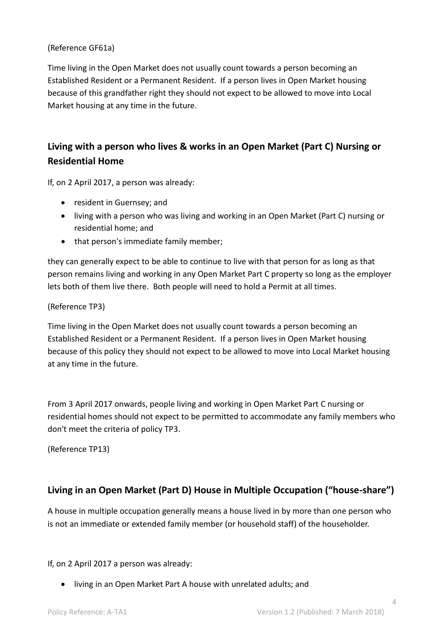#### (Reference GF61a)

Time living in the Open Market does not usually count towards a person becoming an Established Resident or a Permanent Resident. If a person lives in Open Market housing because of this grandfather right they should not expect to be allowed to move into Local Market housing at any time in the future.

## **Living with a person who lives & works in an Open Market (Part C) Nursing or Residential Home**

If, on 2 April 2017, a person was already:

- resident in Guernsey; and
- living with a person who was living and working in an Open Market (Part C) nursing or residential home; and
- that person's immediate family member;

they can generally expect to be able to continue to live with that person for as long as that person remains living and working in any Open Market Part C property so long as the employer lets both of them live there. Both people will need to hold a Permit at all times.

#### (Reference TP3)

Time living in the Open Market does not usually count towards a person becoming an Established Resident or a Permanent Resident. If a person lives in Open Market housing because of this policy they should not expect to be allowed to move into Local Market housing at any time in the future.

From 3 April 2017 onwards, people living and working in Open Market Part C nursing or residential homes should not expect to be permitted to accommodate any family members who don't meet the criteria of policy TP3.

(Reference TP13)

## **Living in an Open Market (Part D) House in Multiple Occupation ("house-share")**

A house in multiple occupation generally means a house lived in by more than one person who is not an immediate or extended family member (or household staff) of the householder.

If, on 2 April 2017 a person was already:

living in an Open Market Part A house with unrelated adults; and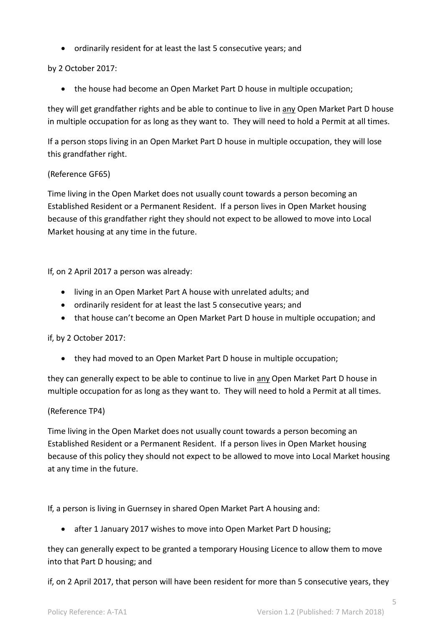ordinarily resident for at least the last 5 consecutive years; and

#### by 2 October 2017:

the house had become an Open Market Part D house in multiple occupation;

they will get grandfather rights and be able to continue to live in any Open Market Part D house in multiple occupation for as long as they want to. They will need to hold a Permit at all times.

If a person stops living in an Open Market Part D house in multiple occupation, they will lose this grandfather right.

#### (Reference GF65)

Time living in the Open Market does not usually count towards a person becoming an Established Resident or a Permanent Resident. If a person lives in Open Market housing because of this grandfather right they should not expect to be allowed to move into Local Market housing at any time in the future.

If, on 2 April 2017 a person was already:

- living in an Open Market Part A house with unrelated adults; and
- ordinarily resident for at least the last 5 consecutive years; and
- that house can't become an Open Market Part D house in multiple occupation; and

if, by 2 October 2017:

• they had moved to an Open Market Part D house in multiple occupation;

they can generally expect to be able to continue to live in any Open Market Part D house in multiple occupation for as long as they want to. They will need to hold a Permit at all times.

#### (Reference TP4)

Time living in the Open Market does not usually count towards a person becoming an Established Resident or a Permanent Resident. If a person lives in Open Market housing because of this policy they should not expect to be allowed to move into Local Market housing at any time in the future.

If, a person is living in Guernsey in shared Open Market Part A housing and:

after 1 January 2017 wishes to move into Open Market Part D housing;

they can generally expect to be granted a temporary Housing Licence to allow them to move into that Part D housing; and

if, on 2 April 2017, that person will have been resident for more than 5 consecutive years, they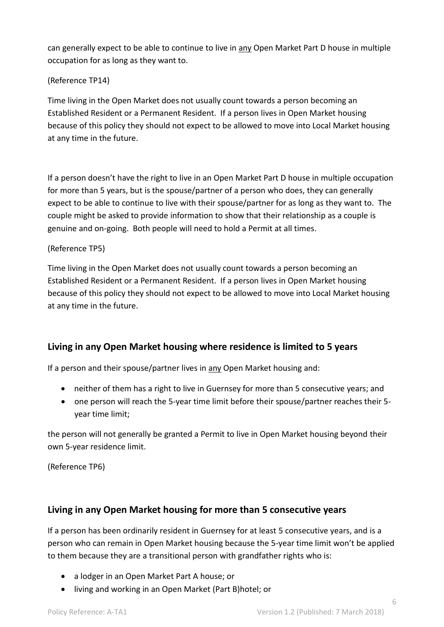can generally expect to be able to continue to live in any Open Market Part D house in multiple occupation for as long as they want to.

## (Reference TP14)

Time living in the Open Market does not usually count towards a person becoming an Established Resident or a Permanent Resident. If a person lives in Open Market housing because of this policy they should not expect to be allowed to move into Local Market housing at any time in the future.

If a person doesn't have the right to live in an Open Market Part D house in multiple occupation for more than 5 years, but is the spouse/partner of a person who does, they can generally expect to be able to continue to live with their spouse/partner for as long as they want to. The couple might be asked to provide information to show that their relationship as a couple is genuine and on-going. Both people will need to hold a Permit at all times.

### (Reference TP5)

Time living in the Open Market does not usually count towards a person becoming an Established Resident or a Permanent Resident. If a person lives in Open Market housing because of this policy they should not expect to be allowed to move into Local Market housing at any time in the future.

## **Living in any Open Market housing where residence is limited to 5 years**

If a person and their spouse/partner lives in any Open Market housing and:

- neither of them has a right to live in Guernsey for more than 5 consecutive years; and
- one person will reach the 5-year time limit before their spouse/partner reaches their 5 year time limit;

the person will not generally be granted a Permit to live in Open Market housing beyond their own 5-year residence limit.

(Reference TP6)

## **Living in any Open Market housing for more than 5 consecutive years**

If a person has been ordinarily resident in Guernsey for at least 5 consecutive years, and is a person who can remain in Open Market housing because the 5-year time limit won't be applied to them because they are a transitional person with grandfather rights who is:

- a lodger in an Open Market Part A house; or
- living and working in an Open Market (Part B)hotel; or